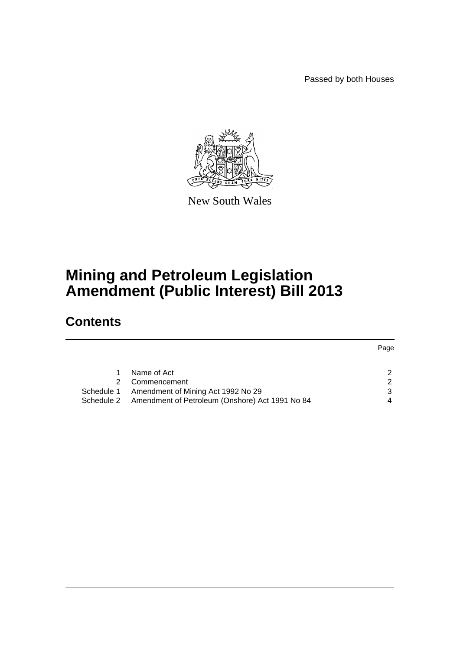Passed by both Houses



New South Wales

# **Mining and Petroleum Legislation Amendment (Public Interest) Bill 2013**

# **Contents**

|            |                                                            | Page |
|------------|------------------------------------------------------------|------|
|            | Name of Act                                                | 2    |
|            | Commencement                                               | 2    |
| Schedule 1 | Amendment of Mining Act 1992 No 29                         | 3    |
|            | Schedule 2 Amendment of Petroleum (Onshore) Act 1991 No 84 | 4    |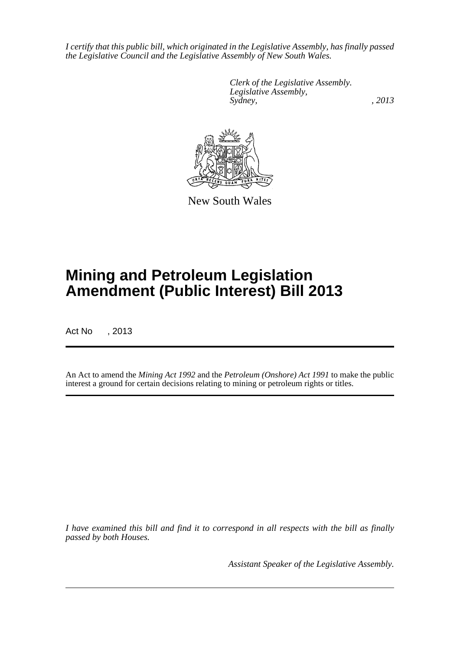*I certify that this public bill, which originated in the Legislative Assembly, has finally passed the Legislative Council and the Legislative Assembly of New South Wales.*

> *Clerk of the Legislative Assembly. Legislative Assembly, Sydney, , 2013*



New South Wales

# **Mining and Petroleum Legislation Amendment (Public Interest) Bill 2013**

Act No , 2013

An Act to amend the *Mining Act 1992* and the *Petroleum (Onshore) Act 1991* to make the public interest a ground for certain decisions relating to mining or petroleum rights or titles.

*I have examined this bill and find it to correspond in all respects with the bill as finally passed by both Houses.*

*Assistant Speaker of the Legislative Assembly.*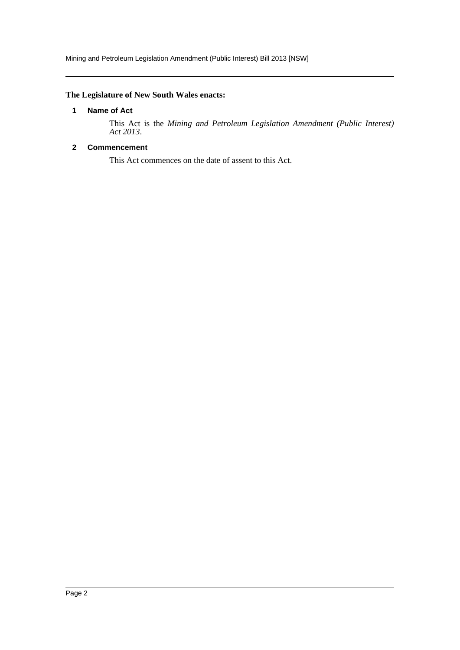## <span id="page-2-0"></span>**The Legislature of New South Wales enacts:**

### **1 Name of Act**

This Act is the *Mining and Petroleum Legislation Amendment (Public Interest) Act 2013*.

## <span id="page-2-1"></span>**2 Commencement**

This Act commences on the date of assent to this Act.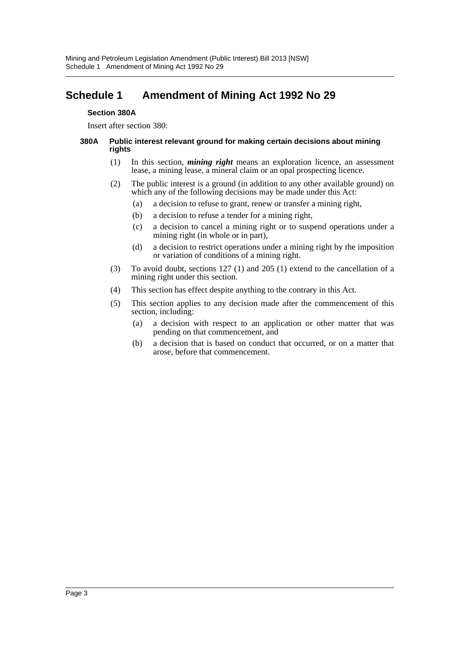# <span id="page-3-0"></span>**Schedule 1 Amendment of Mining Act 1992 No 29**

#### **Section 380A**

Insert after section 380:

#### **380A Public interest relevant ground for making certain decisions about mining rights**

- (1) In this section, *mining right* means an exploration licence, an assessment lease, a mining lease, a mineral claim or an opal prospecting licence.
- (2) The public interest is a ground (in addition to any other available ground) on which any of the following decisions may be made under this Act:
	- (a) a decision to refuse to grant, renew or transfer a mining right,
	- (b) a decision to refuse a tender for a mining right,
	- (c) a decision to cancel a mining right or to suspend operations under a mining right (in whole or in part),
	- (d) a decision to restrict operations under a mining right by the imposition or variation of conditions of a mining right.
- (3) To avoid doubt, sections 127 (1) and 205 (1) extend to the cancellation of a mining right under this section.
- (4) This section has effect despite anything to the contrary in this Act.
- (5) This section applies to any decision made after the commencement of this section, including:
	- (a) a decision with respect to an application or other matter that was pending on that commencement, and
	- (b) a decision that is based on conduct that occurred, or on a matter that arose, before that commencement.